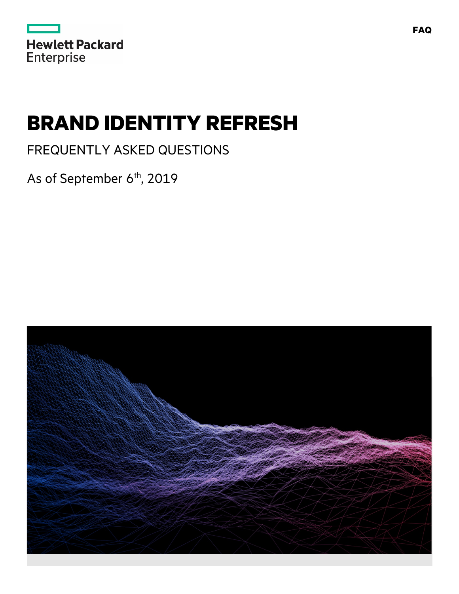| <b>Hewlett Packard</b> |  |  |
|------------------------|--|--|
| <b>Enterprise</b>      |  |  |

# **BRAND IDENTITY REFRESH**

FREQUENTLY ASKED QUESTIONS

As of September 6<sup>th</sup>, 2019

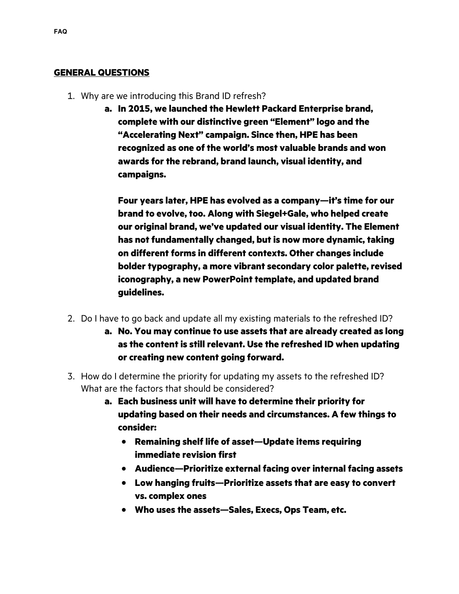#### **GENERAL QUESTIONS**

- 1. Why are we introducing this Brand ID refresh?
	- **a. In 2015, we launched the Hewlett Packard Enterprise brand, complete with our distinctive green "Element" logo and the "Accelerating Next" campaign. Since then, HPE has been recognized as one of the world's most valuable brands and won awards for the rebrand, brand launch, visual identity, and campaigns.**

**Four years later, HPE has evolved as a company—it's time for our brand to evolve, too. Along with Siegel+Gale, who helped create our original brand, we've updated our visual identity. The Element has not fundamentally changed, but is now more dynamic, taking on different forms in different contexts. Other changes include bolder typography, a more vibrant secondary color palette, revised iconography, a new PowerPoint template, and updated brand guidelines.**

- 2. Do I have to go back and update all my existing materials to the refreshed ID?
	- **a. No. You may continue to use assets that are already created as long as the content is still relevant. Use the refreshed ID when updating or creating new content going forward.**
- 3. How do I determine the priority for updating my assets to the refreshed ID? What are the factors that should be considered?
	- **a. Each business unit will have to determine their priority for updating based on their needs and circumstances. A few things to consider:**
		- **Remaining shelf life of asset—Update items requiring immediate revision first**
		- **Audience—Prioritize external facing over internal facing assets**
		- **Low hanging fruits—Prioritize assets that are easy to convert vs. complex ones**
		- **Who uses the assets—Sales, Execs, Ops Team, etc.**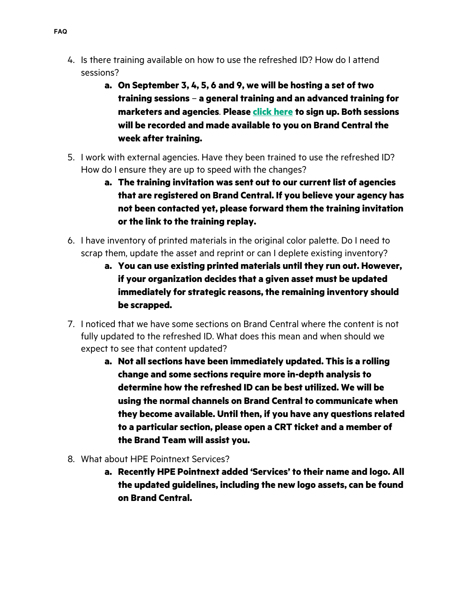- 4. Is there training available on how to use the refreshed ID? How do I attend sessions?
	- **a. On September 3, 4, 5, 6 and 9, we will be hosting a set of two training sessions** – **a general training and an advanced training for marketers and agencies**. **Please [click here](https://media.now.hpe.com/program.aspx?key=BrandRefresh) to sign up. Both sessions will be recorded and made available to you on Brand Central the week after training.**
- 5. I work with external agencies. Have they been trained to use the refreshed ID? How do I ensure they are up to speed with the changes?
	- **a. The training invitation was sent out to our current list of agencies that are registered on Brand Central. If you believe your agency has not been contacted yet, please forward them the training invitation or the link to the training replay.**
- 6. I have inventory of printed materials in the original color palette. Do I need to scrap them, update the asset and reprint or can I deplete existing inventory?
	- **a. You can use existing printed materials until they run out. However, if your organization decides that a given asset must be updated immediately for strategic reasons, the remaining inventory should be scrapped.**
- 7. I noticed that we have some sections on Brand Central where the content is not fully updated to the refreshed ID. What does this mean and when should we expect to see that content updated?
	- **a. Not all sections have been immediately updated. This is a rolling change and some sections require more in-depth analysis to determine how the refreshed ID can be best utilized. We will be using the normal channels on Brand Central to communicate when they become available. Until then, if you have any questions related to a particular section, please open a CRT ticket and a member of the Brand Team will assist you.**
- 8. What about HPE Pointnext Services?
	- **a. Recently HPE Pointnext added 'Services' to their name and logo. All the updated guidelines, including the new logo assets, can be found on Brand Central.**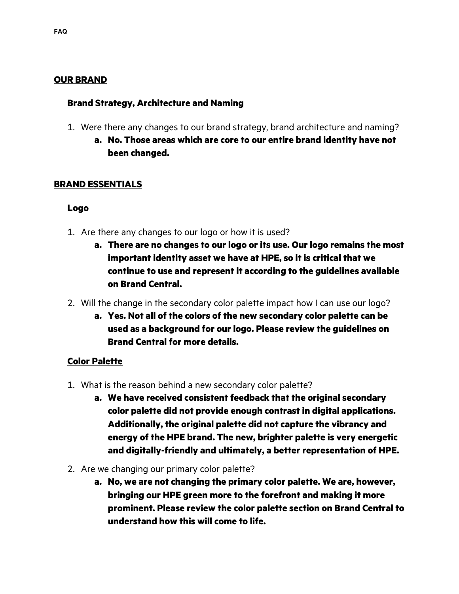### **OUR BRAND**

#### **Brand Strategy, Architecture and Naming**

- 1. Were there any changes to our brand strategy, brand architecture and naming?
	- **a. No. Those areas which are core to our entire brand identity have not been changed.**

#### **BRAND ESSENTIALS**

#### **Logo**

- 1. Are there any changes to our logo or how it is used?
	- **a. There are no changes to our logo or its use. Our logo remains the most important identity asset we have at HPE, so it is critical that we continue to use and represent it according to the guidelines available on Brand Central.**
- 2. Will the change in the secondary color palette impact how I can use our logo?
	- **a. Yes. Not all of the colors of the new secondary color palette can be used as a background for our logo. Please review the guidelines on Brand Central for more details.**

#### **Color Palette**

- 1. What is the reason behind a new secondary color palette?
	- **a. We have received consistent feedback that the original secondary color palette did not provide enough contrast in digital applications. Additionally, the original palette did not capture the vibrancy and energy of the HPE brand. The new, brighter palette is very energetic and digitally-friendly and ultimately, a better representation of HPE.**
- 2. Are we changing our primary color palette?
	- **a. No, we are not changing the primary color palette. We are, however, bringing our HPE green more to the forefront and making it more prominent. Please review the color palette section on Brand Central to understand how this will come to life.**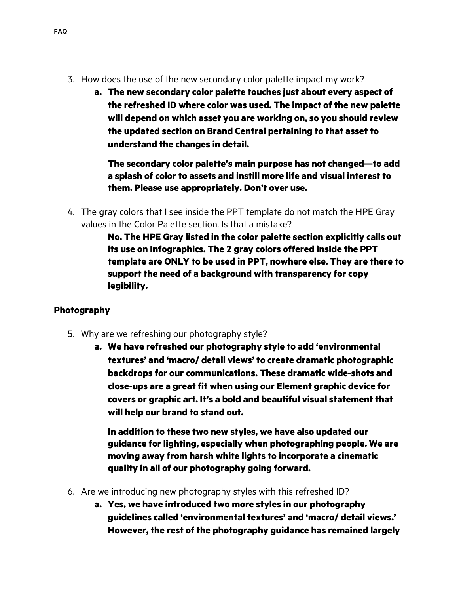- 3. How does the use of the new secondary color palette impact my work?
	- **a. The new secondary color palette touches just about every aspect of the refreshed ID where color was used. The impact of the new palette will depend on which asset you are working on, so you should review the updated section on Brand Central pertaining to that asset to understand the changes in detail.**

**The secondary color palette's main purpose has not changed—to add a splash of color to assets and instill more life and visual interest to them. Please use appropriately. Don't over use.** 

4. The gray colors that I see inside the PPT template do not match the HPE Gray values in the Color Palette section. Is that a mistake?

> **No. The HPE Gray listed in the color palette section explicitly calls out its use on Infographics. The 2 gray colors offered inside the PPT template are ONLY to be used in PPT, nowhere else. They are there to support the need of a background with transparency for copy legibility.**

# **Photography**

- 5. Why are we refreshing our photography style?
	- **a. We have refreshed our photography style to add 'environmental textures' and 'macro/ detail views' to create dramatic photographic backdrops for our communications. These dramatic wide-shots and close-ups are a great fit when using our Element graphic device for covers or graphic art. It's a bold and beautiful visual statement that will help our brand to stand out.**

**In addition to these two new styles, we have also updated our guidance for lighting, especially when photographing people. We are moving away from harsh white lights to incorporate a cinematic quality in all of our photography going forward.**

- 6. Are we introducing new photography styles with this refreshed ID?
	- **a. Yes, we have introduced two more styles in our photography guidelines called 'environmental textures' and 'macro/ detail views.' However, the rest of the photography guidance has remained largely**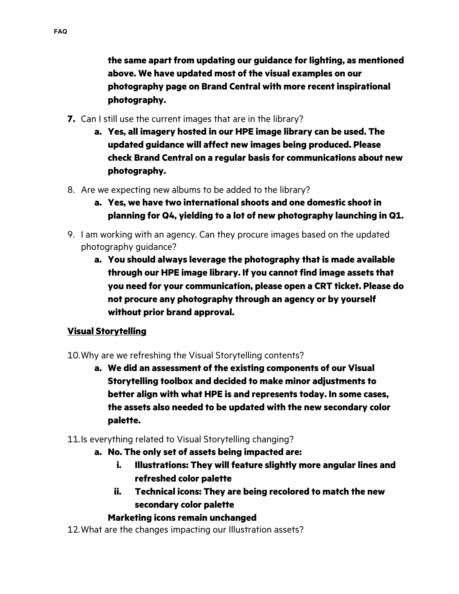**the same apart from updating our guidance for lighting, as mentioned above. We have updated most of the visual examples on our photography page on Brand Central with more recent inspirational photography.**

- **7.** Can I still use the current images that are in the library?
	- **a. Yes, all imagery hosted in our HPE image library can be used. The updated guidance will affect new images being produced. Please check Brand Central on a regular basis for communications about new photography.**
- 8. Are we expecting new albums to be added to the library?
	- **a. Yes, we have two international shoots and one domestic shoot in planning for Q4, yielding to a lot of new photography launching in Q1.**
- 9. I am working with an agency. Can they procure images based on the updated photography guidance?
	- **a. You should always leverage the photography that is made available through our HPE image library. If you cannot find image assets that you need for your communication, please open a CRT ticket. Please do not procure any photography through an agency or by yourself without prior brand approval.**

# **Visual Storytelling**

- 10.Why are we refreshing the Visual Storytelling contents?
	- **a. We did an assessment of the existing components of our Visual Storytelling toolbox and decided to make minor adjustments to better align with what HPE is and represents today. In some cases, the assets also needed to be updated with the new secondary color palette.**
- 11.Is everything related to Visual Storytelling changing?
	- **a. No. The only set of assets being impacted are:** 
		- **i. Illustrations: They will feature slightly more angular lines and refreshed color palette**
		- **ii. Technical icons: They are being recolored to match the new secondary color palette**

# **Marketing icons remain unchanged**

12.What are the changes impacting our Illustration assets?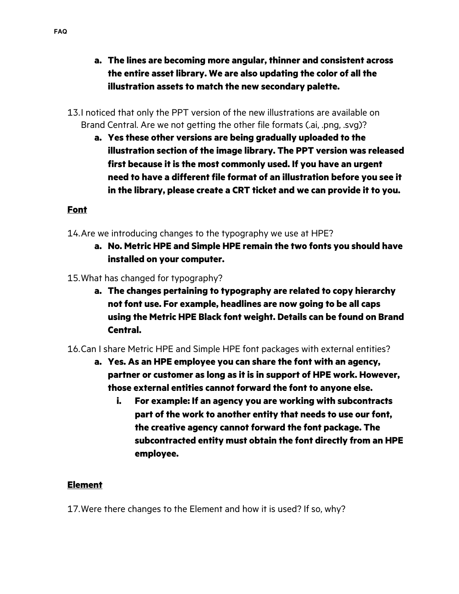- **a. The lines are becoming more angular, thinner and consistent across the entire asset library. We are also updating the color of all the illustration assets to match the new secondary palette.**
- 13.I noticed that only the PPT version of the new illustrations are available on Brand Central. Are we not getting the other file formats (.ai, .png, .svg)?
	- **a. Yes these other versions are being gradually uploaded to the illustration section of the image library. The PPT version was released first because it is the most commonly used. If you have an urgent need to have a different file format of an illustration before you see it in the library, please create a CRT ticket and we can provide it to you.**

# **Font**

- 14.Are we introducing changes to the typography we use at HPE?
	- **a. No. Metric HPE and Simple HPE remain the two fonts you should have installed on your computer.**
- 15.What has changed for typography?
	- **a. The changes pertaining to typography are related to copy hierarchy not font use. For example, headlines are now going to be all caps using the Metric HPE Black font weight. Details can be found on Brand Central.**
- 16.Can I share Metric HPE and Simple HPE font packages with external entities?
	- **a. Yes. As an HPE employee you can share the font with an agency, partner or customer as long as it is in support of HPE work. However, those external entities cannot forward the font to anyone else.** 
		- **i. For example: If an agency you are working with subcontracts part of the work to another entity that needs to use our font, the creative agency cannot forward the font package. The subcontracted entity must obtain the font directly from an HPE employee.**

### **Element**

17.Were there changes to the Element and how it is used? If so, why?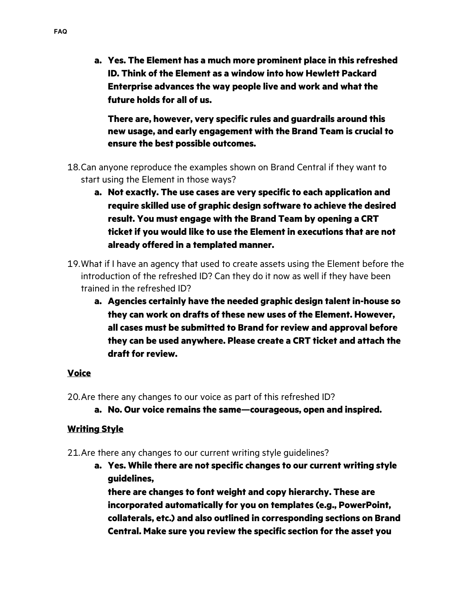**a. Yes. The Element has a much more prominent place in this refreshed ID. Think of the Element as a window into how Hewlett Packard Enterprise advances the way people live and work and what the future holds for all of us.** 

**There are, however, very specific rules and guardrails around this new usage, and early engagement with the Brand Team is crucial to ensure the best possible outcomes.** 

- 18.Can anyone reproduce the examples shown on Brand Central if they want to start using the Element in those ways?
	- **a. Not exactly. The use cases are very specific to each application and require skilled use of graphic design software to achieve the desired result. You must engage with the Brand Team by opening a CRT ticket if you would like to use the Element in executions that are not already offered in a templated manner.**
- 19.What if I have an agency that used to create assets using the Element before the introduction of the refreshed ID? Can they do it now as well if they have been trained in the refreshed ID?
	- **a. Agencies certainly have the needed graphic design talent in-house so they can work on drafts of these new uses of the Element. However, all cases must be submitted to Brand for review and approval before they can be used anywhere. Please create a CRT ticket and attach the draft for review.**

# **Voice**

20.Are there any changes to our voice as part of this refreshed ID?

**a. No. Our voice remains the same—courageous, open and inspired.** 

# **Writing Style**

21.Are there any changes to our current writing style guidelines?

**a. Yes. While there are not specific changes to our current writing style guidelines,** 

**there are changes to font weight and copy hierarchy. These are incorporated automatically for you on templates (e.g., PowerPoint, collaterals, etc.) and also outlined in corresponding sections on Brand Central. Make sure you review the specific section for the asset you**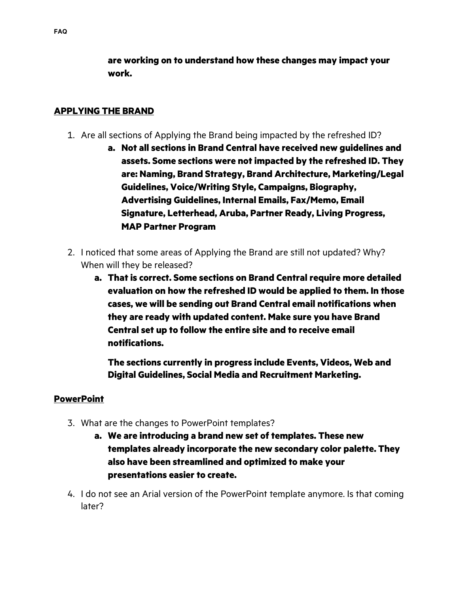**are working on to understand how these changes may impact your work.** 

### **APPLYING THE BRAND**

- 1. Are all sections of Applying the Brand being impacted by the refreshed ID?
	- **a. Not all sections in Brand Central have received new guidelines and assets. Some sections were not impacted by the refreshed ID. They are: Naming, Brand Strategy, Brand Architecture, Marketing/Legal Guidelines, Voice/Writing Style, Campaigns, Biography, Advertising Guidelines, Internal Emails, Fax/Memo, Email Signature, Letterhead, Aruba, Partner Ready, Living Progress, MAP Partner Program**
- 2. I noticed that some areas of Applying the Brand are still not updated? Why? When will they be released?
	- **a. That is correct. Some sections on Brand Central require more detailed evaluation on how the refreshed ID would be applied to them. In those cases, we will be sending out Brand Central email notifications when they are ready with updated content. Make sure you have Brand Central set up to follow the entire site and to receive email notifications.**

**The sections currently in progress include Events, Videos, Web and Digital Guidelines, Social Media and Recruitment Marketing.**

#### **PowerPoint**

- 3. What are the changes to PowerPoint templates?
	- **a. We are introducing a brand new set of templates. These new templates already incorporate the new secondary color palette. They also have been streamlined and optimized to make your presentations easier to create.**
- 4. I do not see an Arial version of the PowerPoint template anymore. Is that coming later?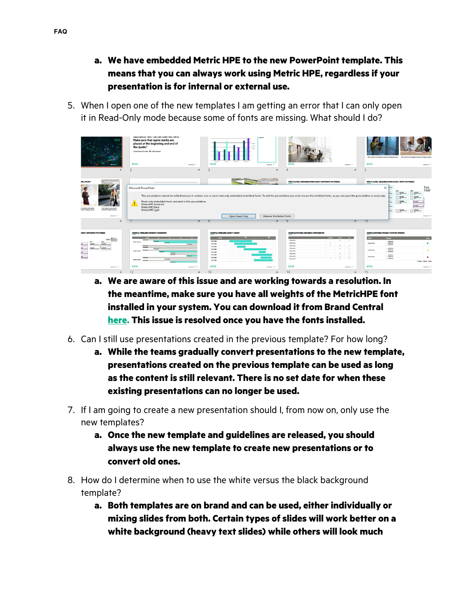- **a. We have embedded Metric HPE to the new PowerPoint template. This means that you can always work using Metric HPE, regardless if your presentation is for internal or external use.**
- 5. When I open one of the new templates I am getting an error that I can only open it in Read-Only mode because some of fonts are missing. What should I do?

|                                                                                                                                                       | VANDATION TEAT VALUE INSERTED HELD.<br>Make sure that quote marks are<br>placed at the beginning and end of<br>the quote."<br>Quoted person's name, this, and company<br>$\overline{\phantom{0}}$<br>common 1 x | <b>ADED 22</b><br>—<br>common 1 x                                                                                                                                                                                                                    | $\overline{\phantom{a}}$<br>common 2 x                                                                                                                                                                                                                                       | lited capitan or descriptive statement relating to picture  lited capitan or descriptive statement relating to picture<br>$\equiv$<br>menters. T<br>5 |
|-------------------------------------------------------------------------------------------------------------------------------------------------------|-----------------------------------------------------------------------------------------------------------------------------------------------------------------------------------------------------------------|------------------------------------------------------------------------------------------------------------------------------------------------------------------------------------------------------------------------------------------------------|------------------------------------------------------------------------------------------------------------------------------------------------------------------------------------------------------------------------------------------------------------------------------|-------------------------------------------------------------------------------------------------------------------------------------------------------|
| <b>MS LAYOUT</b><br>ef cartes or decrette:<br>Izraeli skategis picktura<br>Dani capitan or descriptive<br>statement relating to picture<br>common 1 + | Microsoft PowerPoint<br>Read-only embedded fonts included in this presentation:<br>MetricHPE Semibold<br><b>MetricHPE Black</b><br>MetricHPE Light                                                              | Open Read-Only<br><b>Remove Restricted Fonts</b>                                                                                                                                                                                                     | MULTI-LEVEL ORGANIZATION CHART (WITHOUT PICTURES)<br>This presentation cannot be edited because it contains one or more read-only embedded (restricted) fonts. To edit the presentation you must remove the restricted fonts, or you can open the presentation as read-only. | MULTI-LEVEL ORGANIZATION CHART (WITH PICTURES)<br>$\times$<br>疆<br><b>COLUMN</b><br>$\mathbb{R}^{n\times n}$                                          |
| <b>A</b>                                                                                                                                              | <b>Side</b>                                                                                                                                                                                                     |                                                                                                                                                                                                                                                      | $\Omega$                                                                                                                                                                                                                                                                     | 10                                                                                                                                                    |
| HART (WITHOUT PICTURES)                                                                                                                               | SAMPLE TIMELINE: PRODUCT ROADMAP                                                                                                                                                                                | SAMPLE TIMELINE: GANTT CHART                                                                                                                                                                                                                         | SAMPLE MATRIX: CRITERIA COMPARISON                                                                                                                                                                                                                                           | SAMPLE MATRIX: PROJECT STATUS UPDATE                                                                                                                  |
|                                                                                                                                                       |                                                                                                                                                                                                                 | <u>and a series of the contract of the series of the series of the series of the series of the series of the series of the series of the series of the series of the series of the series of the series of the series of the ser</u><br><b>COLOR</b> | come.<br><b>Carlos</b><br><b>Common</b><br>Obstates.<br>$\epsilon$<br>$\sim$                                                                                                                                                                                                 | <b>Negros</b><br><b>College</b>                                                                                                                       |
| m.                                                                                                                                                    | material star                                                                                                                                                                                                   | <b>MARGES</b><br><b>DEREST</b>                                                                                                                                                                                                                       | Crimalane<br>$\mathcal{L}$<br>$\overline{\epsilon}$<br>$\sim$                                                                                                                                                                                                                | $-$ couplings<br><b>President</b><br>- relations<br>٠<br>$-$ continues.                                                                               |
| $\overline{\mathbf{m}}$ <sub>a</sub><br><b>MILLER</b><br>$\overline{\phantom{a}}$<br>5.00                                                             | makes a play                                                                                                                                                                                                    | <b>GRAINE</b><br><b>MARGES</b><br><b>HERMAN</b>                                                                                                                                                                                                      | Offens how<br>$\epsilon$<br>Otherstown<br>$\epsilon$<br>$\mathcal{L}$<br>Crimelane<br>$\overline{\phantom{a}}$<br>Obstates<br>$\mathcal{A}$<br>×.                                                                                                                            | $-$ continues.<br><b>Provident</b><br>- celebrar<br>٠<br>- celations                                                                                  |
| $\frac{1}{2}$                                                                                                                                         |                                                                                                                                                                                                                 | <b>DESIGNS</b><br><b>URBERRY</b>                                                                                                                                                                                                                     | Obstallent<br>$\overline{\phantom{a}}$<br>$\epsilon$                                                                                                                                                                                                                         | $-$ ratial date<br>- celations<br>PointMan                                                                                                            |
|                                                                                                                                                       | <b>SAVAN</b><br>material plane                                                                                                                                                                                  | <b><i><u>India papel</u></i></b>                                                                                                                                                                                                                     | <b>Créatainne</b><br>$\mathcal{L}$<br>$\mathcal{L}$<br>$\mathcal{L}$                                                                                                                                                                                                         | $-$ couplings<br><b>A called I called A co</b>                                                                                                        |
| <b>CONTINUES   13</b>                                                                                                                                 | $\equiv$<br><b>SHIMM   17</b>                                                                                                                                                                                   | $\equiv$<br>common 1 or                                                                                                                                                                                                                              | $\equiv$<br>memory. I to                                                                                                                                                                                                                                                     | $\equiv$                                                                                                                                              |

- **a. We are aware of this issue and are working towards a resolution. In the meantime, make sure you have all weights of the MetricHPE font installed in your system. You can download it from Brand Central [here.](https://h10014.www1.hpe.com/uploads/media/2017/5/metrichpe_desktop-1493914735105.zip) This issue is resolved once you have the fonts installed.**
- 6. Can I still use presentations created in the previous template? For how long?
	- **a. While the teams gradually convert presentations to the new template, presentations created on the previous template can be used as long as the content is still relevant. There is no set date for when these existing presentations can no longer be used.**
- 7. If I am going to create a new presentation should I, from now on, only use the new templates?
	- **a. Once the new template and guidelines are released, you should always use the new template to create new presentations or to convert old ones.**
- 8. How do I determine when to use the white versus the black background template?
	- **a. Both templates are on brand and can be used, either individually or mixing slides from both. Certain types of slides will work better on a white background (heavy text slides) while others will look much**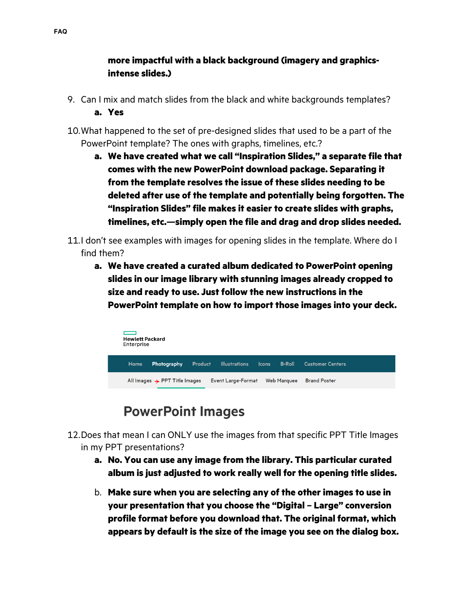# **more impactful with a black background (imagery and graphicsintense slides.)**

- 9. Can I mix and match slides from the black and white backgrounds templates? **a. Yes**
- 10.What happened to the set of pre-designed slides that used to be a part of the PowerPoint template? The ones with graphs, timelines, etc.?
	- **a. We have created what we call "Inspiration Slides," a separate file that comes with the new PowerPoint download package. Separating it from the template resolves the issue of these slides needing to be deleted after use of the template and potentially being forgotten. The "Inspiration Slides" file makes it easier to create slides with graphs, timelines, etc.—simply open the file and drag and drop slides needed.**
- 11.I don't see examples with images for opening slides in the template. Where do I find them?
	- **a. We have created a curated album dedicated to PowerPoint opening slides in our image library with stunning images already cropped to size and ready to use. Just follow the new instructions in the PowerPoint template on how to import those images into your deck.**



# **PowerPoint Images**

- 12.Does that mean I can ONLY use the images from that specific PPT Title Images in my PPT presentations?
	- **a. No. You can use any image from the library. This particular curated album is just adjusted to work really well for the opening title slides.**
	- b. **Make sure when you are selecting any of the other images to use in your presentation that you choose the "Digital – Large" conversion profile format before you download that. The original format, which appears by default is the size of the image you see on the dialog box.**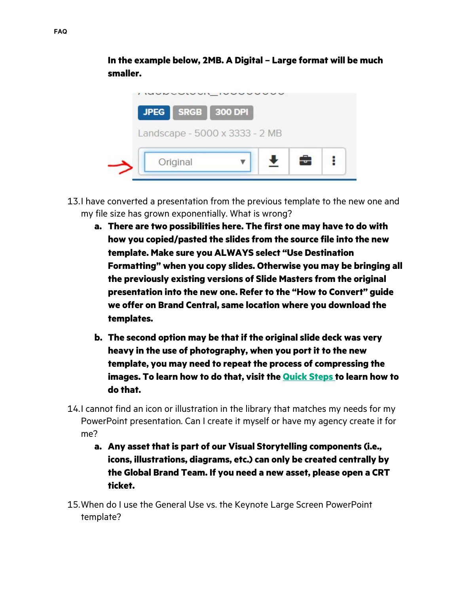**In the example below, 2MB. A Digital – Large format will be much smaller.**



- 13.I have converted a presentation from the previous template to the new one and my file size has grown exponentially. What is wrong?
	- **a. There are two possibilities here. The first one may have to do with how you copied/pasted the slides from the source file into the new template. Make sure you ALWAYS select "Use Destination Formatting" when you copy slides. Otherwise you may be bringing all the previously existing versions of Slide Masters from the original presentation into the new one. Refer to the "How to Convert" guide we offer on Brand Central, same location where you download the templates.**
	- **b. The second option may be that if the original slide deck was very heavy in the use of photography, when you port it to the new template, you may need to repeat the process of compressing the images. To learn how to do that, visit the [Quick Steps](https://h10014.www1.hpe.com/brand-central/content/quick-steps/hpe-powerpoint#installing-ppt-templates) to learn how to do that.**
- 14.I cannot find an icon or illustration in the library that matches my needs for my PowerPoint presentation. Can I create it myself or have my agency create it for me?
	- **a. Any asset that is part of our Visual Storytelling components (i.e., icons, illustrations, diagrams, etc.) can only be created centrally by the Global Brand Team. If you need a new asset, please open a CRT ticket.**
- 15.When do I use the General Use vs. the Keynote Large Screen PowerPoint template?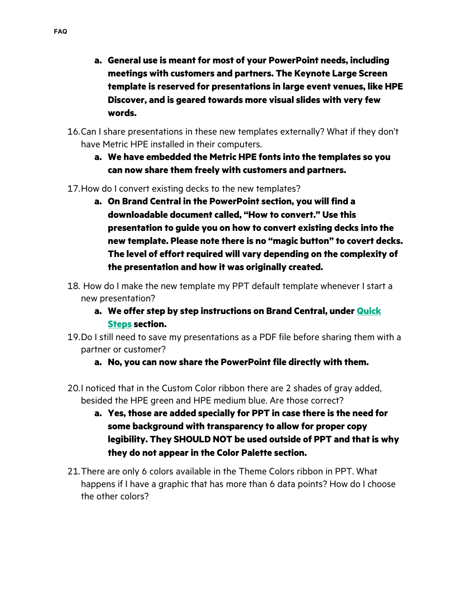- **a. General use is meant for most of your PowerPoint needs, including meetings with customers and partners. The Keynote Large Screen template is reserved for presentations in large event venues, like HPE Discover, and is geared towards more visual slides with very few words.**
- 16.Can I share presentations in these new templates externally? What if they don't have Metric HPE installed in their computers.
	- **a. We have embedded the Metric HPE fonts into the templates so you can now share them freely with customers and partners.**
- 17.How do I convert existing decks to the new templates?
	- **a. On Brand Central in the PowerPoint section, you will find a downloadable document called, "How to convert." Use this presentation to guide you on how to convert existing decks into the new template. Please note there is no "magic button" to covert decks. The level of effort required will vary depending on the complexity of the presentation and how it was originally created.**
- 18. How do I make the new template my PPT default template whenever I start a new presentation?
	- **a. We offer step by step instructions on Brand Central, under [Quick](https://h10014.www1.hpe.com/brand-central/content/quick-steps/hpe-powerpoint#installing-ppt-templates)  [Steps](https://h10014.www1.hpe.com/brand-central/content/quick-steps/hpe-powerpoint#installing-ppt-templates) section.**
- 19.Do I still need to save my presentations as a PDF file before sharing them with a partner or customer?
	- **a. No, you can now share the PowerPoint file directly with them.**
- 20.I noticed that in the Custom Color ribbon there are 2 shades of gray added, besided the HPE green and HPE medium blue. Are those correct?
	- **a. Yes, those are added specially for PPT in case there is the need for some background with transparency to allow for proper copy legibility. They SHOULD NOT be used outside of PPT and that is why they do not appear in the Color Palette section.**
- 21.There are only 6 colors available in the Theme Colors ribbon in PPT. What happens if I have a graphic that has more than 6 data points? How do I choose the other colors?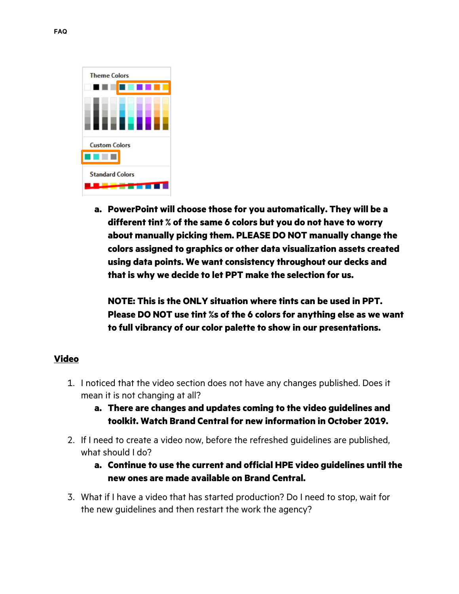

**a. PowerPoint will choose those for you automatically. They will be a different tint % of the same 6 colors but you do not have to worry about manually picking them. PLEASE DO NOT manually change the colors assigned to graphics or other data visualization assets created using data points. We want consistency throughout our decks and that is why we decide to let PPT make the selection for us.** 

**NOTE: This is the ONLY situation where tints can be used in PPT. Please DO NOT use tint %s of the 6 colors for anything else as we want to full vibrancy of our color palette to show in our presentations.** 

### **Video**

- 1. I noticed that the video section does not have any changes published. Does it mean it is not changing at all?
	- **a. There are changes and updates coming to the video guidelines and toolkit. Watch Brand Central for new information in October 2019.**
- 2. If I need to create a video now, before the refreshed guidelines are published, what should I do?
	- **a. Continue to use the current and official HPE video guidelines until the new ones are made available on Brand Central.**
- 3. What if I have a video that has started production? Do I need to stop, wait for the new guidelines and then restart the work the agency?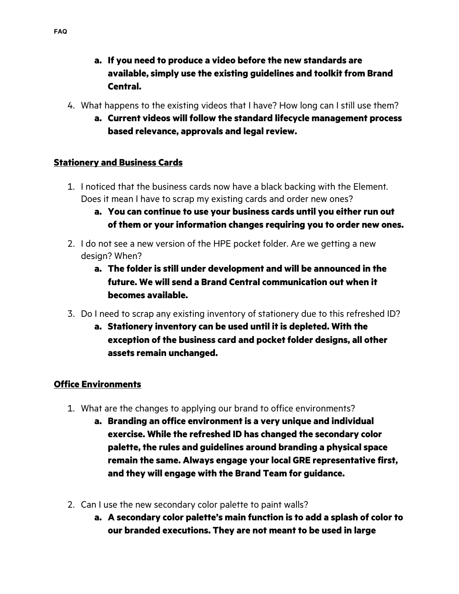- **a. If you need to produce a video before the new standards are available, simply use the existing guidelines and toolkit from Brand Central.**
- 4. What happens to the existing videos that I have? How long can I still use them?
	- **a. Current videos will follow the standard lifecycle management process based relevance, approvals and legal review.**

# **Stationery and Business Cards**

- 1. I noticed that the business cards now have a black backing with the Element. Does it mean I have to scrap my existing cards and order new ones?
	- **a. You can continue to use your business cards until you either run out of them or your information changes requiring you to order new ones.**
- 2. I do not see a new version of the HPE pocket folder. Are we getting a new design? When?
	- **a. The folder is still under development and will be announced in the future. We will send a Brand Central communication out when it becomes available.**
- 3. Do I need to scrap any existing inventory of stationery due to this refreshed ID?
	- **a. Stationery inventory can be used until it is depleted. With the exception of the business card and pocket folder designs, all other assets remain unchanged.**

### **Office Environments**

- 1. What are the changes to applying our brand to office environments?
	- **a. Branding an office environment is a very unique and individual exercise. While the refreshed ID has changed the secondary color palette, the rules and guidelines around branding a physical space remain the same. Always engage your local GRE representative first, and they will engage with the Brand Team for guidance.**
- 2. Can I use the new secondary color palette to paint walls?
	- **a. A secondary color palette's main function is to add a splash of color to our branded executions. They are not meant to be used in large**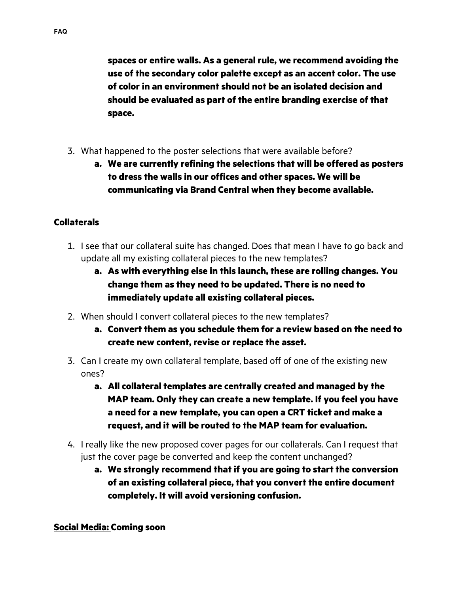**spaces or entire walls. As a general rule, we recommend avoiding the use of the secondary color palette except as an accent color. The use of color in an environment should not be an isolated decision and should be evaluated as part of the entire branding exercise of that space.** 

- 3. What happened to the poster selections that were available before?
	- **a. We are currently refining the selections that will be offered as posters to dress the walls in our offices and other spaces. We will be communicating via Brand Central when they become available.**

# **Collaterals**

- 1. I see that our collateral suite has changed. Does that mean I have to go back and update all my existing collateral pieces to the new templates?
	- **a. As with everything else in this launch, these are rolling changes. You change them as they need to be updated. There is no need to immediately update all existing collateral pieces.**
- 2. When should I convert collateral pieces to the new templates?
	- **a. Convert them as you schedule them for a review based on the need to create new content, revise or replace the asset.**
- 3. Can I create my own collateral template, based off of one of the existing new ones?
	- **a. All collateral templates are centrally created and managed by the MAP team. Only they can create a new template. If you feel you have a need for a new template, you can open a CRT ticket and make a request, and it will be routed to the MAP team for evaluation.**
- 4. I really like the new proposed cover pages for our collaterals. Can I request that just the cover page be converted and keep the content unchanged?
	- **a. We strongly recommend that if you are going to start the conversion of an existing collateral piece, that you convert the entire document completely. It will avoid versioning confusion.**

### **Social Media: Coming soon**